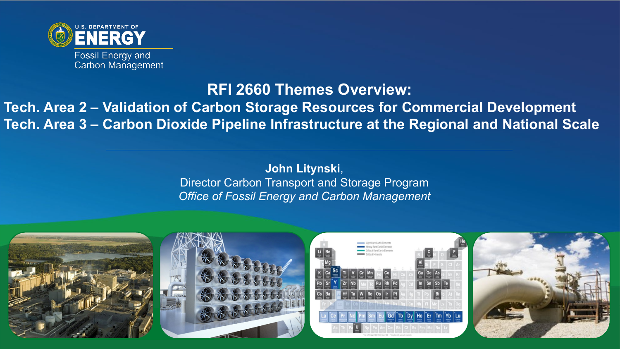

### **RFI 2660 Themes Overview:**

### **Tech. Area 2 – Validation of Carbon Storage Resources for Commercial Development Tech. Area 3 – Carbon Dioxide Pipeline Infrastructure at the Regional and National Scale**

### **John Litynski**, Director Carbon Transport and Storage Program *Office of Fossil Energy and Carbon Management*

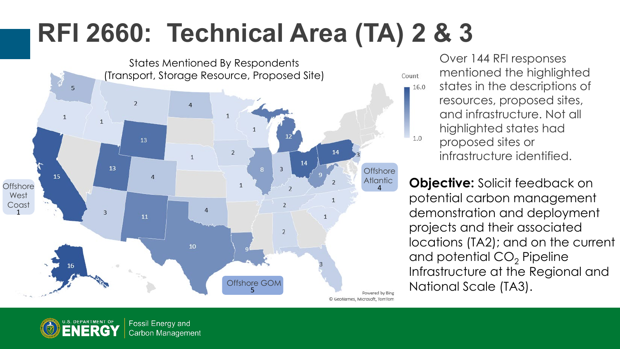# **RFI 2660: Technical Area (TA) 2 & 3**



Over 144 RFI responses mentioned the highlighted states in the descriptions of 16.0 resources, proposed sites, and infrastructure. Not all highlighted states had  $1.0$ proposed sites or infrastructure identified.

**Objective:** Solicit feedback on potential carbon management demonstration and deployment projects and their associated locations (TA2); and on the current and potential  $CO<sub>2</sub>$  Pipeline Infrastructure at the Regional and

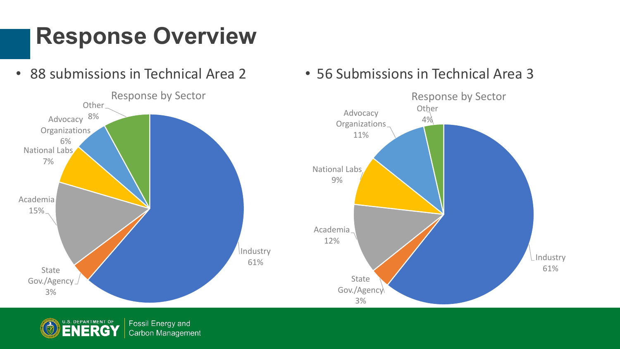# **Response Overview**

• 88 submissions in Technical Area 2



• 56 Submissions in Technical Area 3

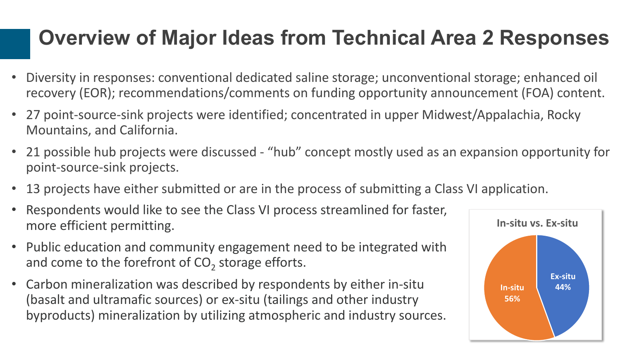### **Overview of Major Ideas from Technical Area 2 Responses**

- Diversity in responses: conventional dedicated saline storage; unconventional storage; enhanced oil recovery (EOR); recommendations/comments on funding opportunity announcement (FOA) content.
- 27 point-source-sink projects were identified; concentrated in upper Midwest/Appalachia, Rocky Mountains, and California.
- 21 possible hub projects were discussed "hub" concept mostly used as an expansion opportunity for point-source-sink projects.
- 13 projects have either submitted or are in the process of submitting a Class VI application.
- Respondents would like to see the Class VI process streamlined for faster, more efficient permitting.
- Public education and community engagement need to be integrated with and come to the forefront of  $CO<sub>2</sub>$  storage efforts.
- Carbon mineralization was described by respondents by either in-situ (basalt and ultramafic sources) or ex-situ (tailings and other industry byproducts) mineralization by utilizing atmospheric and industry sources.

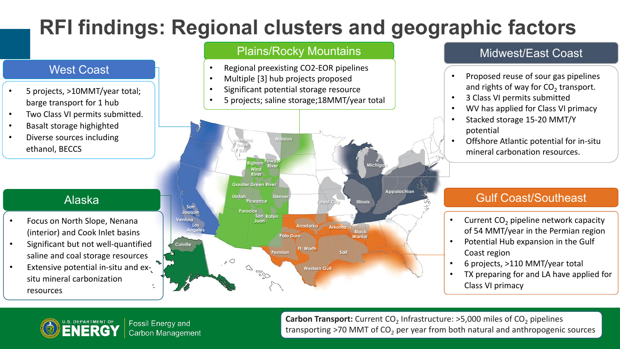## **RFI findings: Regional clusters and geographic factors**

#### West Coast

- 5 projects, >10MMT/year total; barge transport for 1 hub
- Two Class VI permits submitted.
- Basalt storage highighted
- Diverse sources including ethanol, BECCS

#### Alaska

- Focus on North Slope, Nenana (interior) and Cook Inlet basins
- Significant but not well-quantified saline and coal storage resources
- Extensive potential in-situ and exsitu mineral carbonization resources

#### Plains/Rocky Mountains Midwest/East Coast

- Regional preexisting CO2-EOR pipelines
- Multiple [3] hub projects proposed
- Significant potential storage resource
- 5 projects; saline storage;18MMT/year total



- Proposed reuse of sour gas pipelines and rights of way for  $CO<sub>2</sub>$  transport.
- 3 Class VI permits submitted
- WV has applied for Class VI primacy
- Stacked storage 15-20 MMT/Y potential
- Offshore Atlantic potential for in-situ mineral carbonation resources.

#### Gulf Coast/Southeast

- Current  $CO<sub>2</sub>$  pipeline network capacity of 54 MMT/year in the Permian region
- Potential Hub expansion in the Gulf Coast region
- 6 projects, >110 MMT/year total
- TX preparing for and LA have applied for Class VI primacy



**Carbon Transport:** Current CO<sub>2</sub> Infrastructure: >5,000 miles of CO<sub>2</sub> pipelines transporting  $>70$  MMT of CO<sub>2</sub> per year from both natural and anthropogenic sources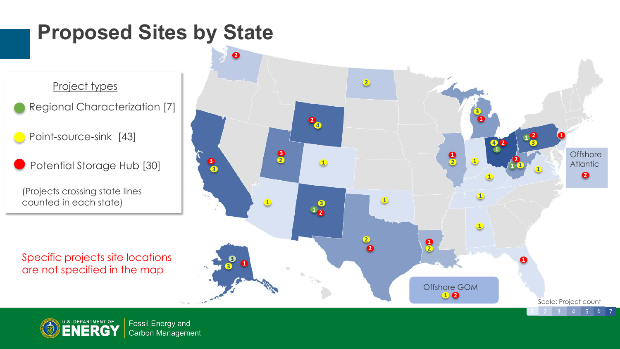### **Proposed Sites by State**

Project types

- Regional Characterization [7]
- Point-source-sink [43]
- Potential Storage Hub [30]

(Projects crossing state lines counted in each state)

Specific projects site locations are not specified in the map



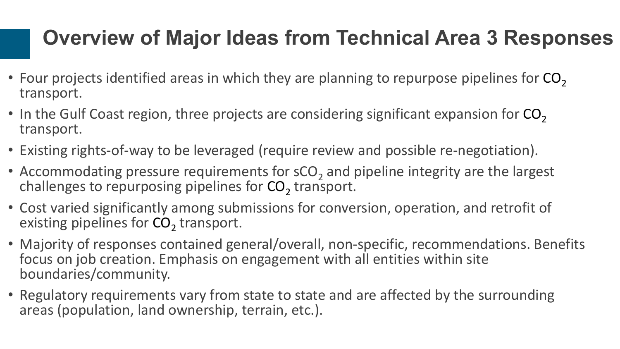### **Overview of Major Ideas from Technical Area 3 Responses**

- Four projects identified areas in which they are planning to repurpose pipelines for  $CO<sub>2</sub>$ transport.
- In the Gulf Coast region, three projects are considering significant expansion for  $CO<sub>2</sub>$ transport.
- Existing rights-of-way to be leveraged (require review and possible re-negotiation).
- Accommodating pressure requirements for  $sCO<sub>2</sub>$  and pipeline integrity are the largest challenges to repurposing pipelines for  $CO<sub>2</sub>$  transport.
- Cost varied significantly among submissions for conversion, operation, and retrofit of existing pipelines for  $CO<sub>2</sub>$  transport.
- Majority of responses contained general/overall, non-specific, recommendations. Benefits focus on job creation. Emphasis on engagement with all entities within site boundaries/community.
- Regulatory requirements vary from state to state and are affected by the surrounding areas (population, land ownership, terrain, etc.).